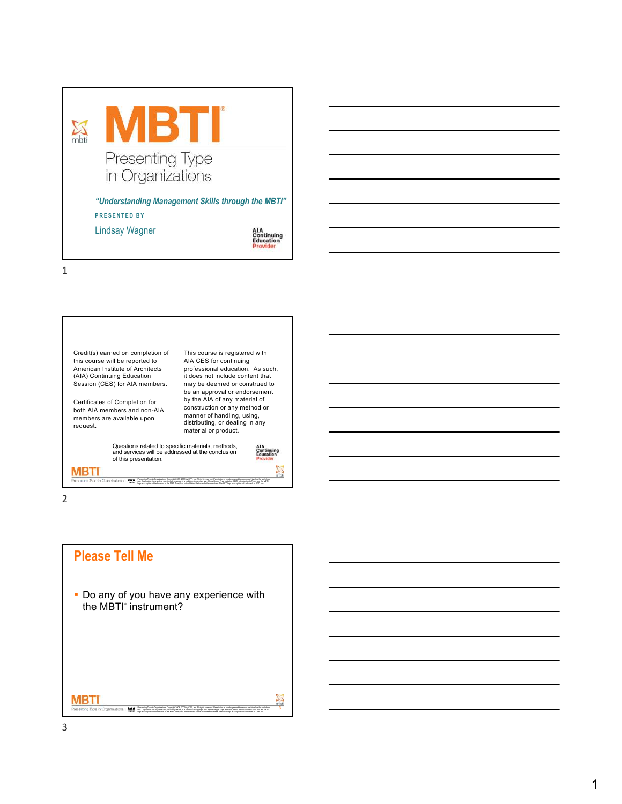



2

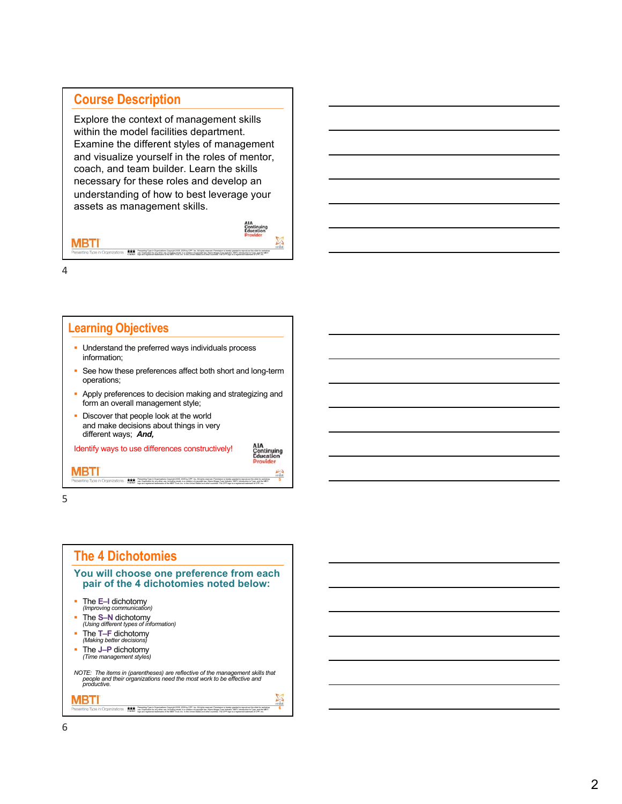### **Course Description**

Explore the context of management skills within the model facilities department. Examine the different styles of management and visualize yourself in the roles of mentor, coach, and team builder. Learn the skills necessary for these roles and develop an understanding of how to best leverage your assets as management skills.



4

MBTI

### **Learning Objectives** • Understand the preferred ways individuals process information; • See how these preferences affect both short and long-term operations; • Apply preferences to decision making and strategizing and form an overall management style; • Discover that people look at the world and make decisions about things in very different ways; *And,* Identify ways to use differences constructively! na MBTI **5** Presenting Type in Organizations Copyright 2008, 2009 by CPP, Inc. All rights reserved. Permission is hereby granted to reproduce this slide for workshop<br>use. Duplication for any other use, including resses, is a violation

uss. Duplication for any other use, including resale, is a violation of copyright law. Myers-Briggs Type Indicator, MBTI, Introduction to Type, and the MBTI<br>logo are registered trademarks of the MBTI Trust. Inc. in the Uni



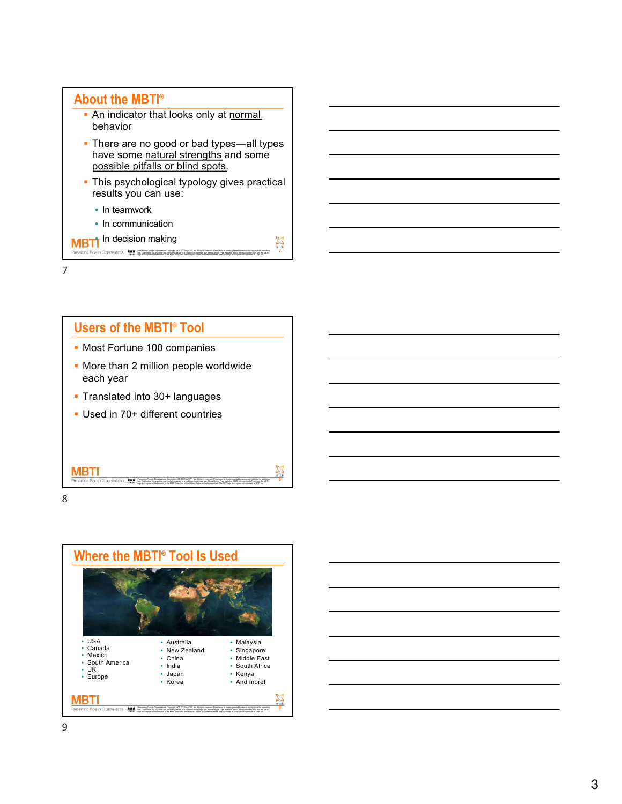





| <u> Andreas Andreas Andreas Andreas Andreas Andreas Andreas Andreas Andreas Andreas Andreas Andreas Andreas Andreas Andreas Andreas Andreas Andreas Andreas Andreas Andreas Andreas Andreas Andreas Andreas Andreas Andreas Andr</u> |  |  |  |
|--------------------------------------------------------------------------------------------------------------------------------------------------------------------------------------------------------------------------------------|--|--|--|
| and the control of the control of the control of the control of the control of the control of the control of the                                                                                                                     |  |  |  |
| and the control of the control of the control of the control of the control of the control of the control of the                                                                                                                     |  |  |  |
| <u> 1989 - Johann Stoff, deutscher Stoffen und der Stoffen und der Stoffen und der Stoffen und der Stoffen und der</u>                                                                                                               |  |  |  |
| the contract of the contract of the contract of the contract of the contract of the contract of the contract of                                                                                                                      |  |  |  |
| ,一个人的人都是一个人的人,一个人的人,一个人的人,一个人的人,一个人的人,一个人的人,一个人的人,一个人的人,一个人的人,一个人的人,一个人的人,一个人的人,                                                                                                                                                     |  |  |  |
|                                                                                                                                                                                                                                      |  |  |  |
|                                                                                                                                                                                                                                      |  |  |  |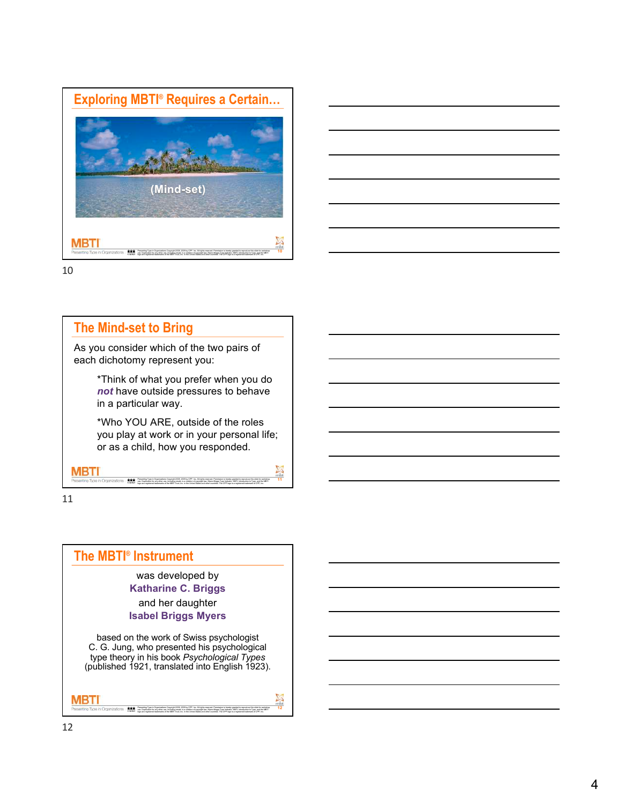



# **The Mind-set to Bring**

As you consider which of the two pairs of each dichotomy represent you:

> \*Think of what you prefer when you do *not* have outside pressures to behave in a particular way.

\*Who YOU ARE, outside of the roles you play at work or in your personal life; or as a child, how you responded.

> Presenting Type in Organizations Copyright 2008, 2009 by CPP, Inc. All rights reserved. Permission is hereby granted to reproduce this slide for workshop uss. Duplication for any other use, including resale, is a violation of copyright law. Myers-Briggs Type Indicator, MBTI, Introduction to Type, and the MBTI<br>loop are registered trademarks of the MBTI Trust. Inc. in the Uni

**11**

11

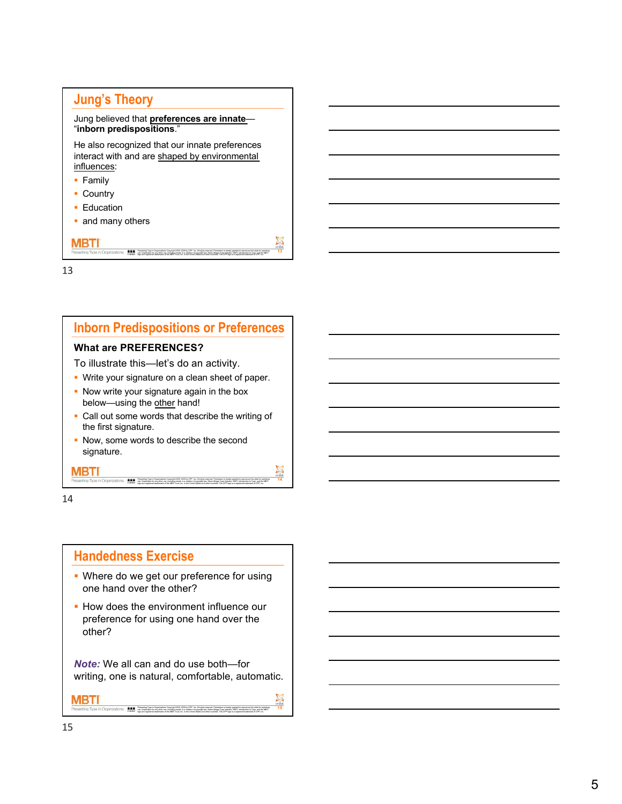# **Jung's Theory**

### Jung believed that **preferences are innate** — "**inborn predispositions** . "

He also recognized that our innate preferences interact with and are shaped by environmental influences :

- Family
- § Country
- Education
- and many others

MBTI

13

# **Inborn Predispositions or Preferences**

Presening Type in Organizations Copyright 2008, 2009 by CPP, Inc. All rights reserved. Permission in hereby granted to reproduce this slide for workshop.<br>Less. Duplication for any other securities are assistant of copyrigh

**13**

**14**

**15** 

### **What are PREFERENCES?**

To illustrate this —let's do an activity.

- Write your signature on a clean sheet of paper.
- Now write your signature again in the box below—using the other hand!
- Call out some words that describe the writing of the first signature.

Presenting Type in Organizations Copyright 2008, 2009 by CPP, Inc. All rights reserved. Permission is hereby granted to reproduce this slide for workshop

uss. Duplication for any other use, including resale, is a violation of copyright law. Myers-Briggs Type Indicator, MBTI, Introduction to Type, and the MBTI<br>logo are registered trademarks of the MBTI Trust. Inc. in the Uni

• Now, some words to describe the second signature.

### 14

MBTI

### **Handedness Exercise**

use. Duplication for any other use, including resale, is a violation of copyright law. Myers

- Where do we get our preference for using one hand over the other?
- How does the environment influence our preference for using one hand over the other?

*Note:* We all can and do use both —for writing, one is natural, comfortable, automatic.

Presening Type in Organizations Copyright 2008, 2009 by CPP, Inc. All rights reserved. Permission in hereby granted to reproduce this slide for workshop.<br>Less. Duplication for any other securities are assistant of copyrigh

### MBTI

15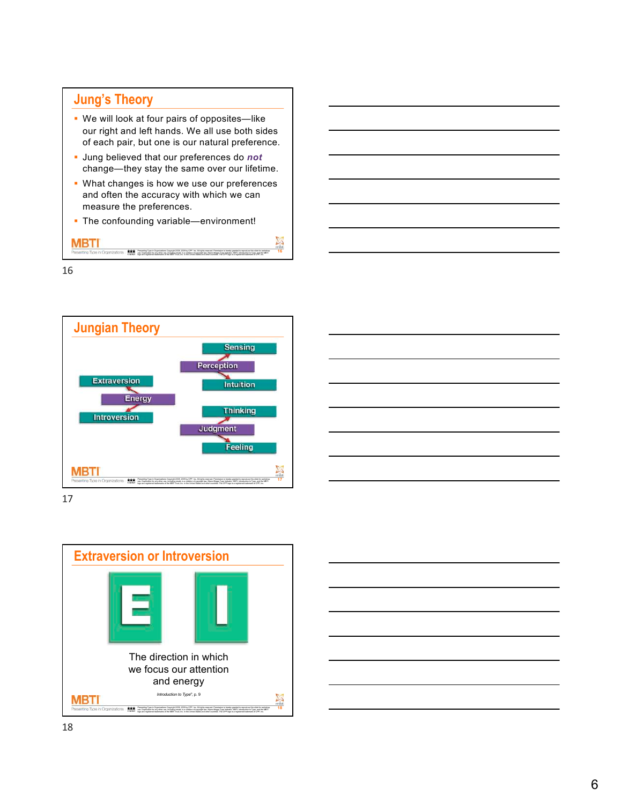# **Jung's Theory**

- We will look at four pairs of opposites—like our right and left hands. We all use both sides of each pair, but one is our natural preference.
- § Jung believed that our preferences do *not* change—they stay the same over our lifetime.
- What changes is how we use our preferences and often the accuracy with which we can measure the preferences.

**16**

§ The confounding variable—environment!

MBTI Presening Type in Organizations Copyright 2008, 2009 by CPP, Inc. All rights reserved. Permission in hereby granted to reproduce this slide for workshop.<br>Less. Duplication for any other securities are assistant of copyrigh



17



| <u>a sa mga bagayan ng mga bayang ng mga bagayang ng mga bagayang ng mga bagayang ng mga bagayang ng mga bagayang n</u> |  |
|-------------------------------------------------------------------------------------------------------------------------|--|
|                                                                                                                         |  |
|                                                                                                                         |  |
|                                                                                                                         |  |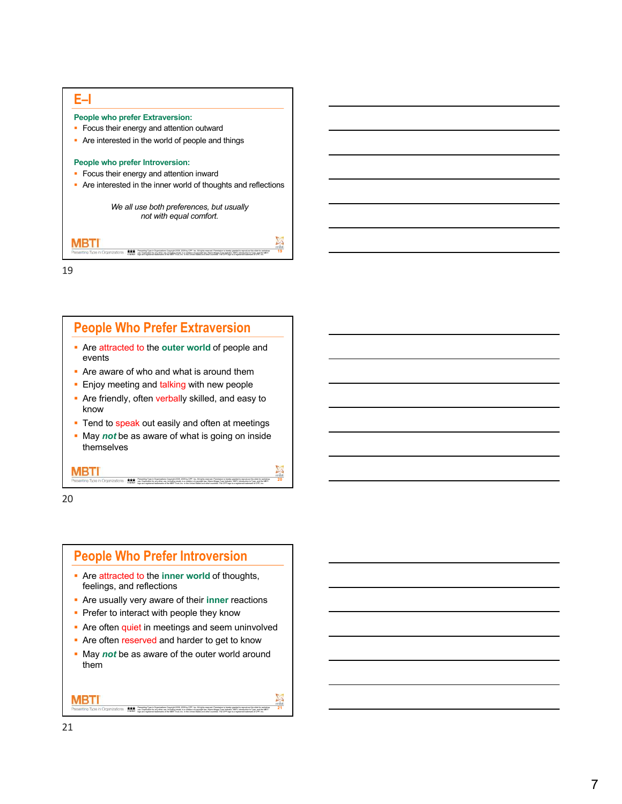



20

# **People Who Prefer Introversion**

- **Example 2 Are attracted to the inner world of thoughts,** feelings, and reflections
- § Are usually very aware of their **inner** reactions
- Prefer to interact with people they know
- Are often quiet in meetings and seem uninvolved
- Are often reserved and harder to get to know
- May *not* be as aware of the outer world around them

Presening Type in Organizations Copyright 2008, 2009 by CPP, Inc. All rights reserved. Permission in hereby granted to reproduce this slide for workshop.<br>Less. Duplication for any other securities are assistant of copyrigh

**21**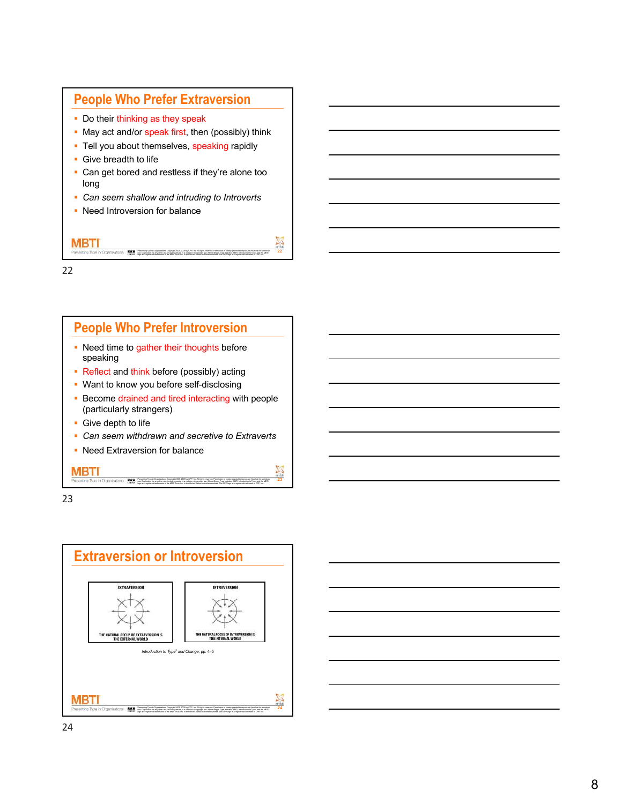# **People Who Prefer Extraversion**

- Do their thinking as they speak
- May act and/or speak first, then (possibly) think
- Tell you about themselves, speaking rapidly
- Give breadth to life
- Can get bored and restless if they're alone too long

**22**

- § *Can seem shallow and intruding to Introverts*
- Need Introversion for balance

MBTI Presening Type in Organizations Copyright 2008, 2009 by CPP, Inc. All rights reserved. Permission in hereby granted to reproduce this slide for workshop.<br>Less. Duplication for any other securities are assistant of copyrigh

22



uss. Duplication for any other use, including resale, is a violation of copyright law. Myers-Briggs Type Indicator, MBTI, Introduction to Type, and the MBTI<br>loop are registered trademarks of the MBTI Trust. Inc. in the Uni

23



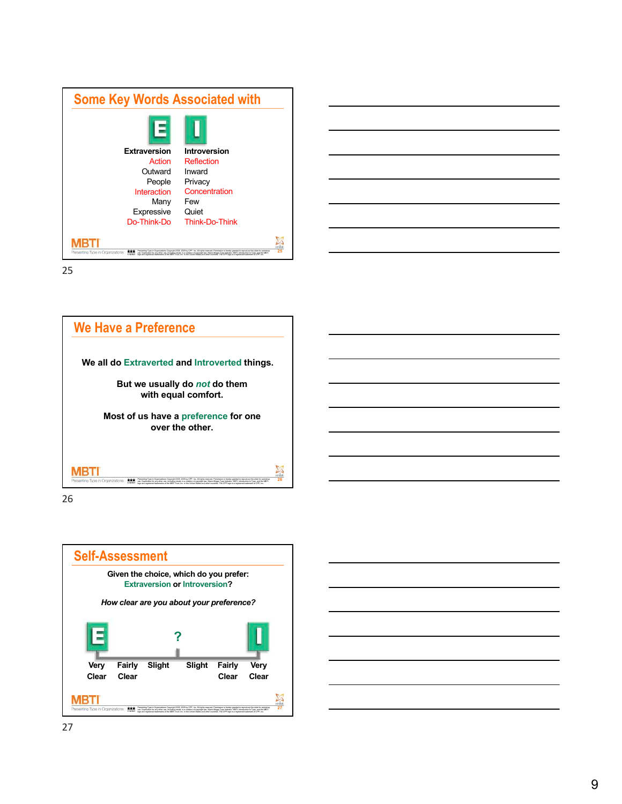| <b>Some Key Words Associated with</b>    |                                                                                                                                                                                                                                                                                                                                                                                            |  |
|------------------------------------------|--------------------------------------------------------------------------------------------------------------------------------------------------------------------------------------------------------------------------------------------------------------------------------------------------------------------------------------------------------------------------------------------|--|
|                                          |                                                                                                                                                                                                                                                                                                                                                                                            |  |
| <b>Extraversion</b>                      | Introversion                                                                                                                                                                                                                                                                                                                                                                               |  |
| Action                                   | Reflection                                                                                                                                                                                                                                                                                                                                                                                 |  |
| Outward                                  | Inward                                                                                                                                                                                                                                                                                                                                                                                     |  |
| People                                   | Privacy                                                                                                                                                                                                                                                                                                                                                                                    |  |
| Interaction                              | Concentration                                                                                                                                                                                                                                                                                                                                                                              |  |
| Many                                     | Few                                                                                                                                                                                                                                                                                                                                                                                        |  |
| Expressive                               | Quiet                                                                                                                                                                                                                                                                                                                                                                                      |  |
| Do-Think-Do                              | Think-Do-Think                                                                                                                                                                                                                                                                                                                                                                             |  |
|                                          |                                                                                                                                                                                                                                                                                                                                                                                            |  |
|                                          |                                                                                                                                                                                                                                                                                                                                                                                            |  |
| Presenting Type in Organizations<br>CIOD | Presenting Type in Organizations Copyright 2008, 2009 by CPP, Inc. All rights reserved. Permission is hereby granted to reproduce this slide for workshop<br>use. Duplication for any other use, including resale, is a violation<br>logo are registered tradematics of the METI Trust, Inc. in the United States and other countries. The CPP logo is a registered trademark of CPP, Inc. |  |



26



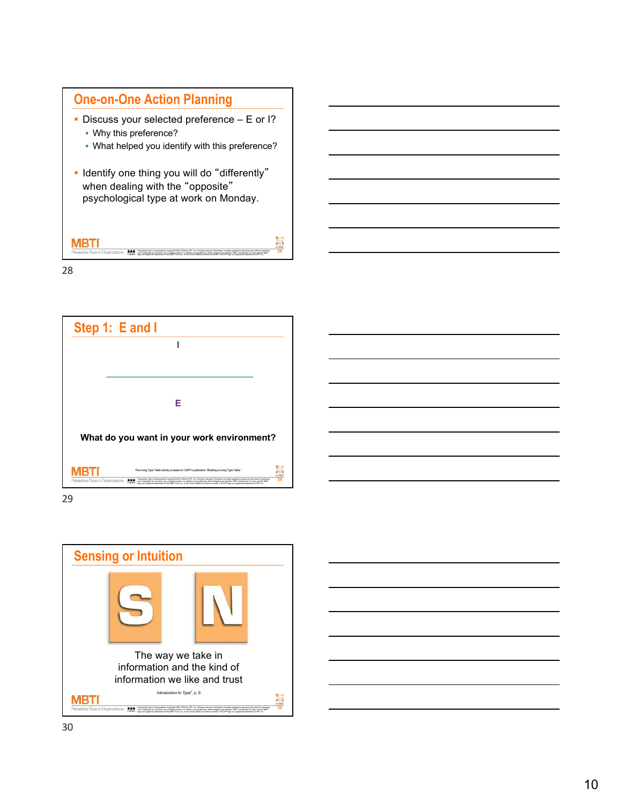





29



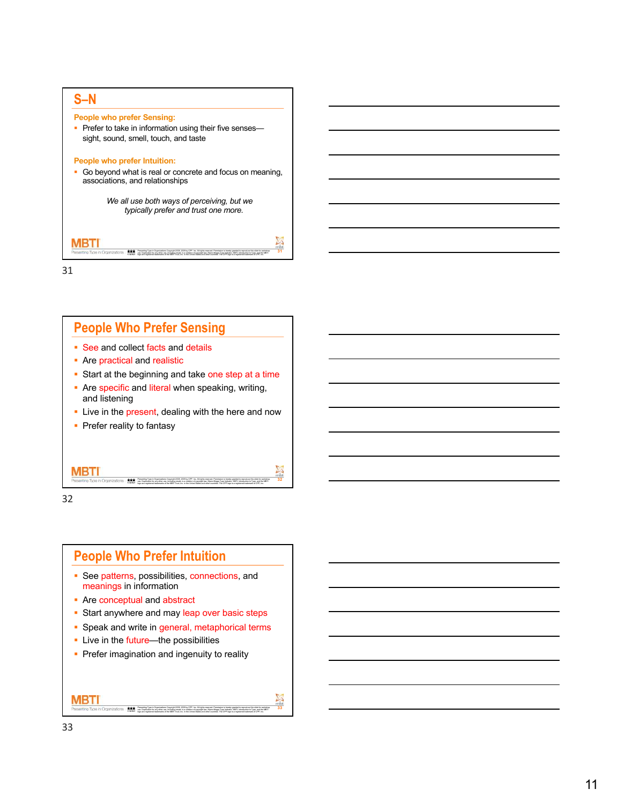

## **People Who Prefer Sensing**

- See and collect facts and details
- Are practical and realistic
- Start at the beginning and take one step at a time
- Are specific and literal when speaking, writing, and listening
- **Example 1** Live in the present, dealing with the here and now

Presenting Type in Organizations Copyright 2008, 2009 by CPP, Inc. All rights reserved. Permission is hereby granted to reproduce this slide for workshop uss. Duplication for any other use, including resale, is a violation of copyright law. Myers-Briggs Type Indicator, MBTI, Introduction to Type, and the MBTI<br>loop are registered trademarks of the MBTI Trust. Inc. in the Uni

Presening Type in Organizations Copyright 2008, 2009 by CPP, Inc. All rights reserved. Permission in hereby granted to reproduce this slide for workshop.<br>Less. Duplication for any other securities are assistant of copyrigh

**32** 

**33**

• Prefer reality to fantasy

32

MBTI

### **People Who Prefer Intuition**

- See patterns, possibilities, connections, and meanings in information
- Are conceptual and abstract
- Start anywhere and may leap over basic steps
- Speak and write in general, metaphorical terms
- Live in the future—the possibilities
- **Prefer imagination and ingenuity to reality**

MBTI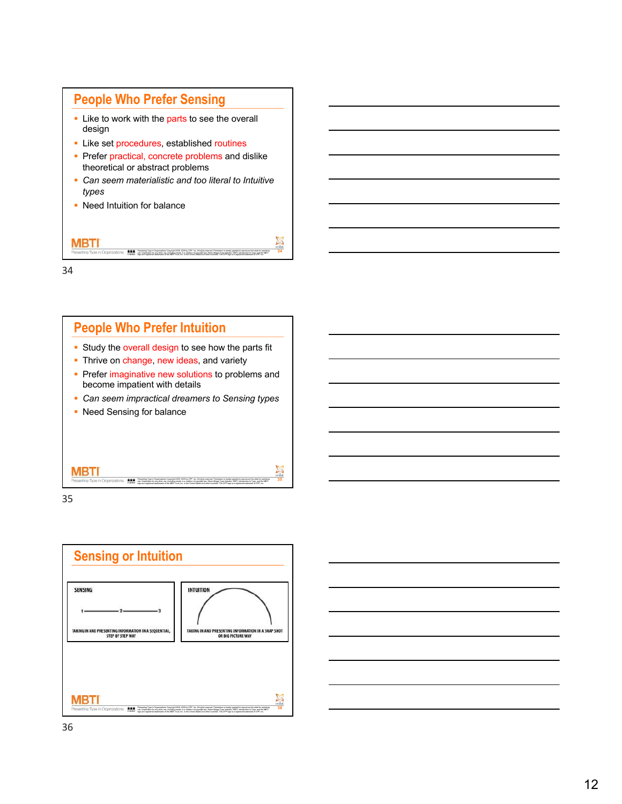# **People Who Prefer Sensing**

- Like to work with the parts to see the overall design
- Like set procedures, established routines
- Prefer practical, concrete problems and dislike theoretical or abstract problems
- § *Can seem materialistic and too literal to Intuitive types*

**34**

• Need Intuition for balance



34

## **People Who Prefer Intuition**

- Study the overall design to see how the parts fit
- Thrive on change, new ideas, and variety
- Prefer imaginative new solutions to problems and become impatient with details
- § *Can seem impractical dreamers to Sensing types*
- Need Sensing for balance

| Presenting Type in Organizations | 黑 | Presenting Type in Organizations Copyright 2008 2009 by CPP, Inc. All rights reserved. Permission is hereby granted to regroduce this slide for workshop.<br>use. Duplication for any other use, including resale, is a violation of copyright law. Myers Briggs Type Indicator, MSTI, Introduction to Type, and the MSTI<br>logo are registered trademarks of the METI Trust, Inc. in the United States and other countries. The CPP logo is a registered trademark of CPP, Inc. | 35 |
|----------------------------------|---|-----------------------------------------------------------------------------------------------------------------------------------------------------------------------------------------------------------------------------------------------------------------------------------------------------------------------------------------------------------------------------------------------------------------------------------------------------------------------------------|----|



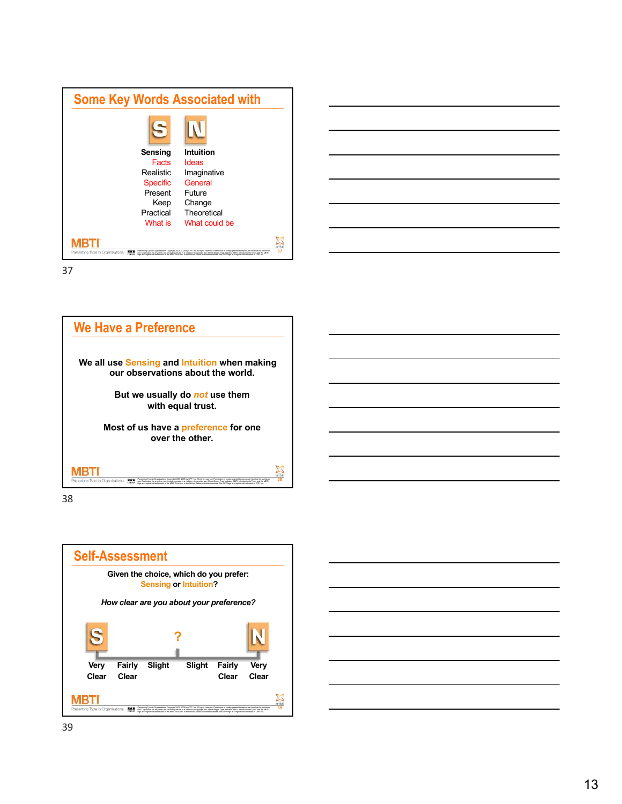| <b>Some Key Words Associated with</b> |                                                                                                                                                                                                                                   |  |
|---------------------------------------|-----------------------------------------------------------------------------------------------------------------------------------------------------------------------------------------------------------------------------------|--|
|                                       |                                                                                                                                                                                                                                   |  |
| Sensing                               | Intuition                                                                                                                                                                                                                         |  |
| Facts                                 | Ideas                                                                                                                                                                                                                             |  |
| <b>Realistic</b>                      | Imaginative                                                                                                                                                                                                                       |  |
| <b>Specific</b>                       | General                                                                                                                                                                                                                           |  |
| Present                               | Future                                                                                                                                                                                                                            |  |
| Keep                                  | Change                                                                                                                                                                                                                            |  |
| Practical                             | Theoretical                                                                                                                                                                                                                       |  |
| What is                               | What could be                                                                                                                                                                                                                     |  |
| Presenting Type in Organizations      | Presenting Type in Organizations Copyright 2008, 2009 by CPP, Inc. All rights reserved. Permission is hereby granted to reproduce this slide for workshop<br>use. Duplication for any other use, including resale, is a violation |  |





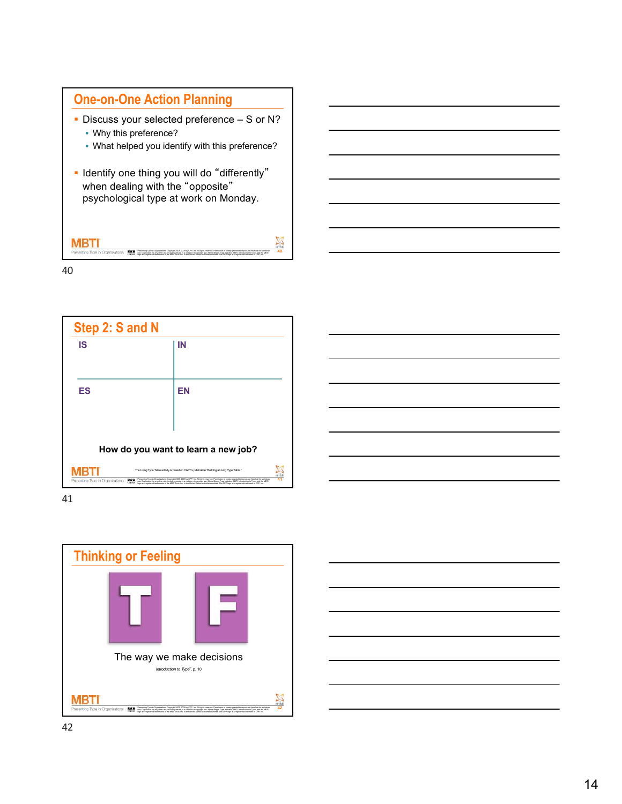

- § Discuss your selected preference S or N? • Why this preference?
	- What helped you identify with this preference?
- § Identify one thing you will do "differently" when dealing with the "opposite" psychological type at work on Monday.

Presening Type in Organizations Copyright 2008, 2009 by CPP, Inc. All rights reserved. Permission in hereby granted to reproduce this slide for workshop.<br>Less. Duplication for any other securities are assistant of copyrigh

**40**

40

MBTI





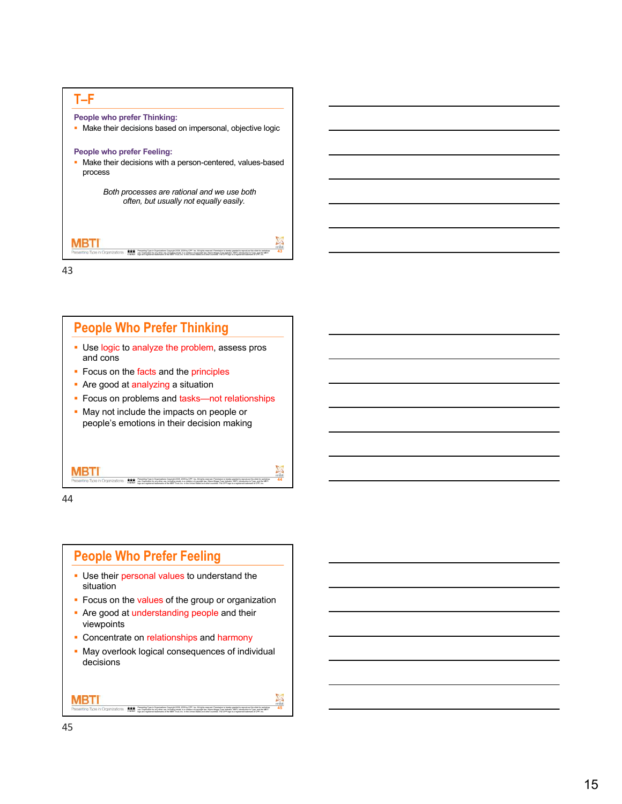



44

MBTI

### **People Who Prefer Feeling**

- Use their personal values to understand the situation
- Focus on the values of the group or organization

Presenting Type in Organizations Copyright 2008, 2009 by CPP, Inc. All rights reserved. Permission is hereby granted to reproduce this slide for workshop uss. Duplication for any other use, including resale, is a violation of copyright law. Myers-Briggs Type Indicator, MBTI, Introduction to Type, and the MBTI<br>loop are registered trademarks of the MBTI Trust. Inc. in the Uni

**44**

**45**

- Are good at understanding people and their viewpoints
- Concentrate on relationships and harmony
- May overlook logical consequences of individual decisions

Presening Type in Organizations Copyright 2008, 2009 by CPP, Inc. All rights reserved. Permission in hereby granted to reproduce this slide for workshop.<br>Less. Duplication for any other securities are assistant of copyrigh

45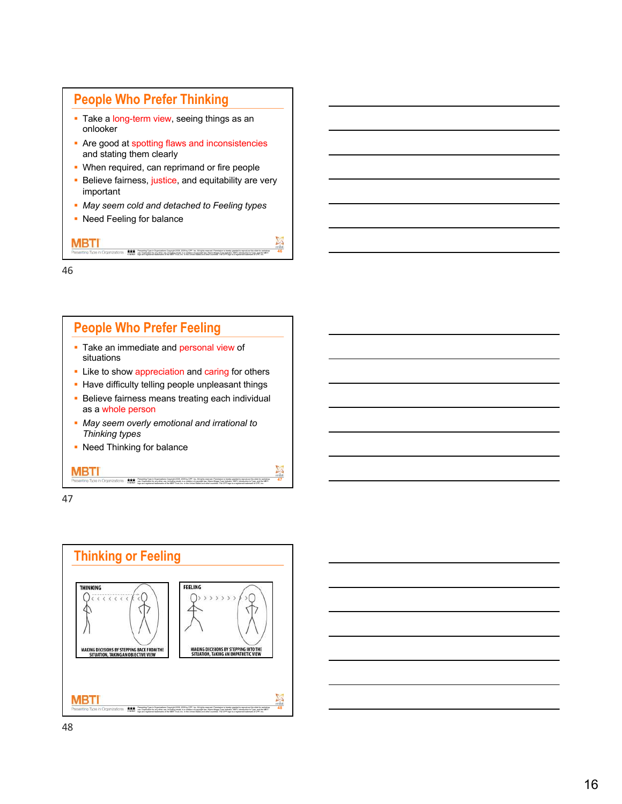# **People Who Prefer Thinking**

- Take a long-term view, seeing things as an onlooker
- Are good at spotting flaws and inconsistencies and stating them clearly
- When required, can reprimand or fire people
- Believe fairness, justice, and equitability are very important

Presening Type in Organizations Copyright 2008, 2009 by CPP, Inc. All rights reserved. Permission in hereby granted to reproduce this slide for workshop.<br>Less. Duplication for any other securities are assistant of copyrigh

**46**

- § *May seem cold and detached to Feeling types*
- Need Feeling for balance

46

MBTI





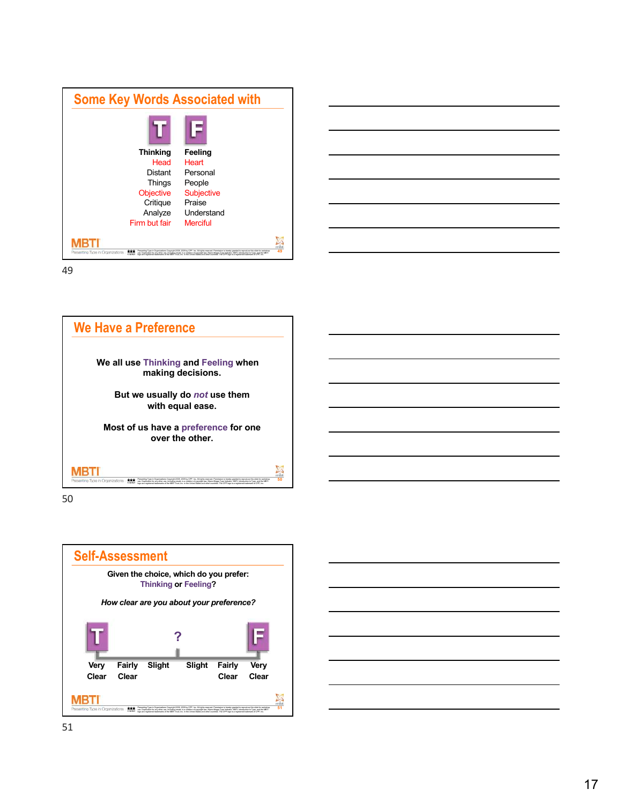| <b>Thinking</b>                  | Feeling                                                                                                                                                                                                                           |    |
|----------------------------------|-----------------------------------------------------------------------------------------------------------------------------------------------------------------------------------------------------------------------------------|----|
| Head                             | Heart                                                                                                                                                                                                                             |    |
| Distant                          | Personal                                                                                                                                                                                                                          |    |
| Things                           | People                                                                                                                                                                                                                            |    |
| <b>Objective</b>                 | <b>Subjective</b>                                                                                                                                                                                                                 |    |
| Critique                         | Praise                                                                                                                                                                                                                            |    |
| Analyze                          | Understand                                                                                                                                                                                                                        |    |
| Firm but fair                    | Merciful                                                                                                                                                                                                                          |    |
| Presenting Type in Organizations | Presenting Type in Organizations Copyright 2008, 2009 by CPP, Inc. All rights reserved. Permission is hereby granted to reproduce this slide for workshop<br>use. Duplication for any other use, including resale, is a violation | 49 |





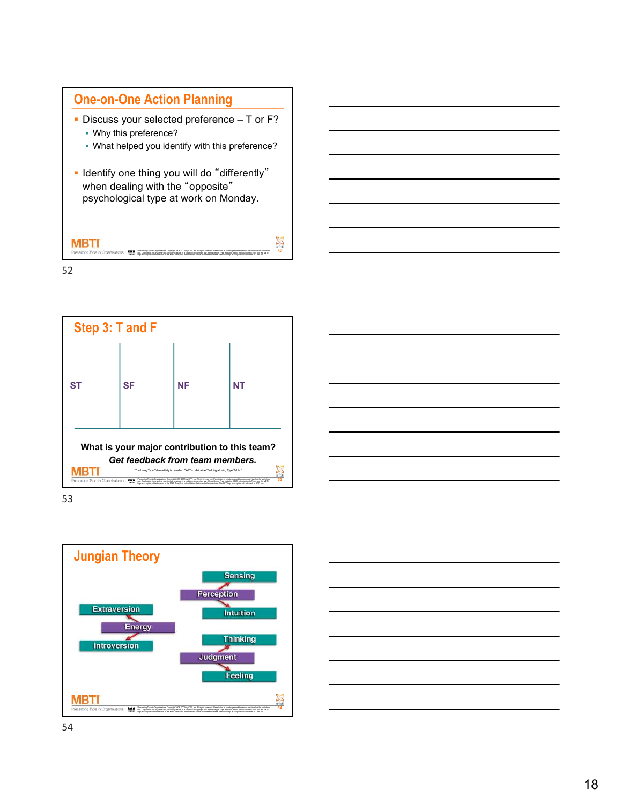

- Discuss your selected preference T or F? • Why this preference?
	- What helped you identify with this preference?
- § Identify one thing you will do "differently" when dealing with the "opposite" psychological type at work on Monday.

Presening Type in Organizations Copyright 2008, 2009 by CPP, Inc. All rights reserved. Permission in hereby granted to reproduce this slide for workshop.<br>Less. Duplication for any other securities are assistant of copyrigh

**52**

52



53



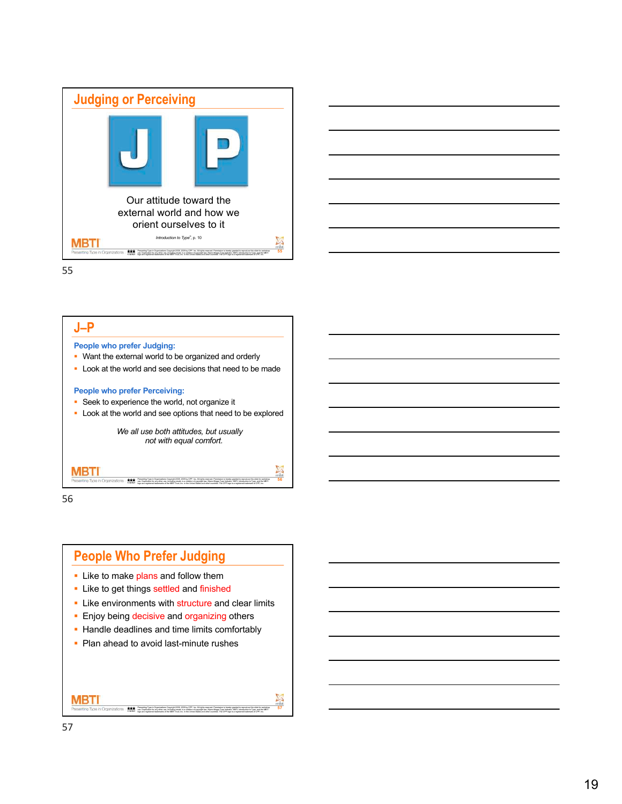





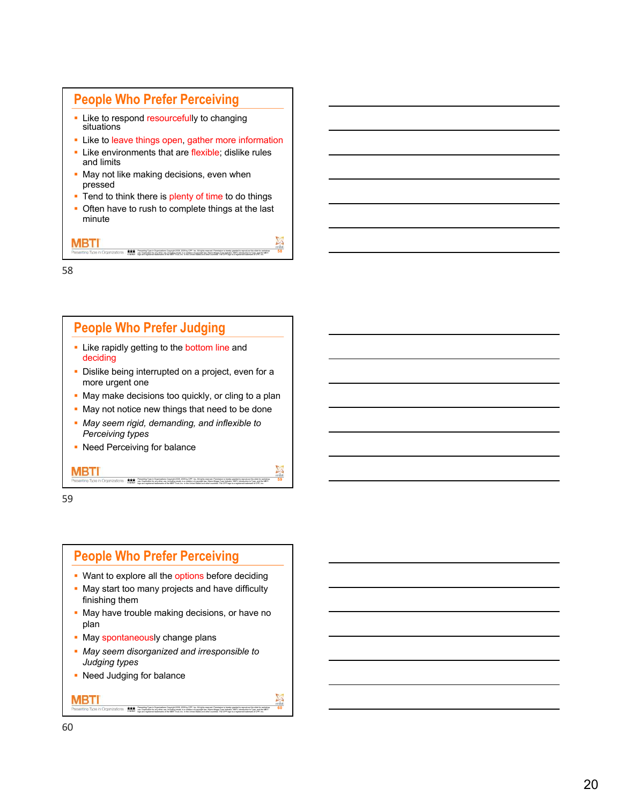## **People Who Prefer Perceiving**

- Like to respond resourcefully to changing situations
- Like to leave things open, gather more information
- Like environments that are flexible; dislike rules and limits
- May not like making decisions, even when pressed
- Tend to think there is plenty of time to do things
- Often have to rush to complete things at the last minute

Presening Type in Organizations Copyright 2008, 2009 by CPP, Inc. All rights reserved. Permission in hereby granted to reproduce this slide for workshop.<br>Less. Duplication for any other securities are assistant of copyrigh

**58**

**59**

**60**

MBTI

58

## **People Who Prefer Judging**

- **Example 1** Like rapidly getting to the bottom line and deciding
- **Dislike being interrupted on a project, even for a** more urgent one
- May make decisions too quickly, or cling to a plan

Presenting Type in Organizations Copyright 2008, 2009 by CPP, Inc. All rights reserved. Permission is hereby granted to reproduce this slide for workshop

Presening Type in Organizations Copyright 2008, 2009 by CPP, Inc. All rights reserved. Permission in hereby granted to reproduce this slide for workshop.<br>Less. Duplication for any other securities are assistant of copyrigh

uss. Duplication for any other use, including resale, is a violation of copyright law. Myers-Briggs Type Indicator, MBTI, Introduction to Type, and the MBTI<br>logo are registered trademarks of the MBTI Trust. Inc. in the Uni

- May not notice new things that need to be done
- § *May seem rigid, demanding, and inflexible to Perceiving types*
- Need Perceiving for balance

e. Duplication for any other use, including research including research including research in the copyright law. Myers are a violation of copyright law. Myers are a violation of copyright law. My ereda in the copyright law

59

MBTI

### **People Who Prefer Perceiving**

- Want to explore all the options before deciding
- May start too many projects and have difficulty finishing them
- May have trouble making decisions, or have no plan
- May spontaneously change plans
- § *May seem disorganized and irresponsible to Judging types*
- Need Judging for balance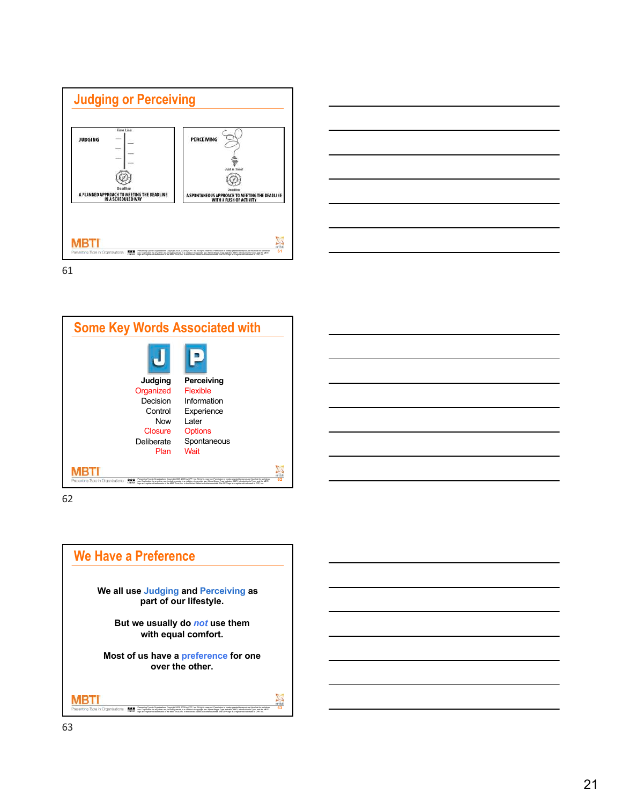





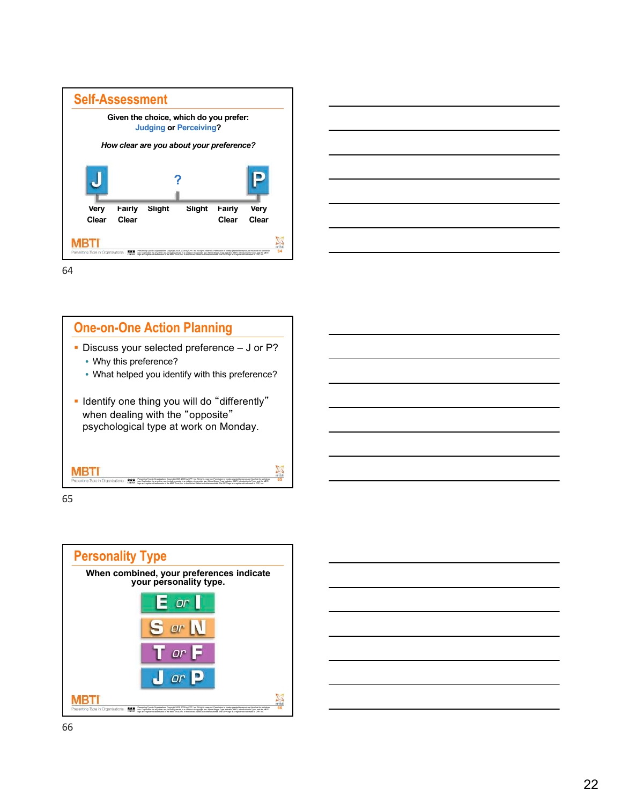

# **One-on-One Action Planning**

- § Discuss your selected preference J or P? • Why this preference?
	- What helped you identify with this preference?

Presenting Type in Organizations Copyright 2008, 2009 by CPP, Inc. All rights reserved. Permission is hereby granted to reproduce this slide for workshop uss. Duplication for any other use, including resale, is a violation of copyright law. Myers-Briggs Type Indicator, MBTI, Introduction to Type, and the MBTI<br>loop are registered trademarks of the MBTI Trust. Inc. in the Uni

**65** 

§ Identify one thing you will do "differently" when dealing with the "opposite" psychological type at work on Monday.

65



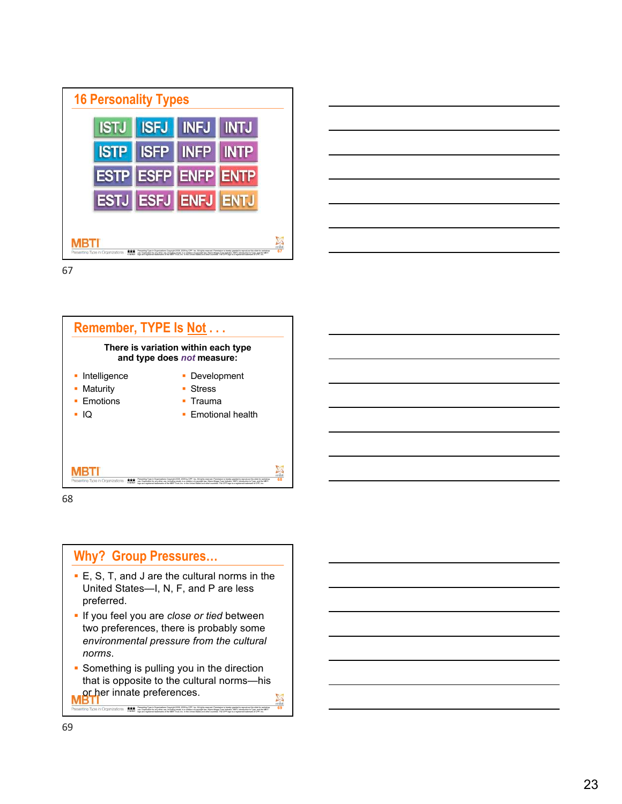





68



- E, S, T, and J are the cultural norms in the United States—I, N, F, and P are less preferred.
- **· If you feel you are** *close or tied* **between** two preferences, there is probably some *environmental pressure from the cultural norms*.
- **69 • Something is pulling you in the direction** that is opposite to the cultural norms—his or her innate preferences.

Presening Type in Organizations Copyright 2008, 2009 by CPP, Inc. All rights reserved. Permission in hereby granted to reproduce this slide for workshop.<br>Less. Duplication for any other securities are assistant of copyrigh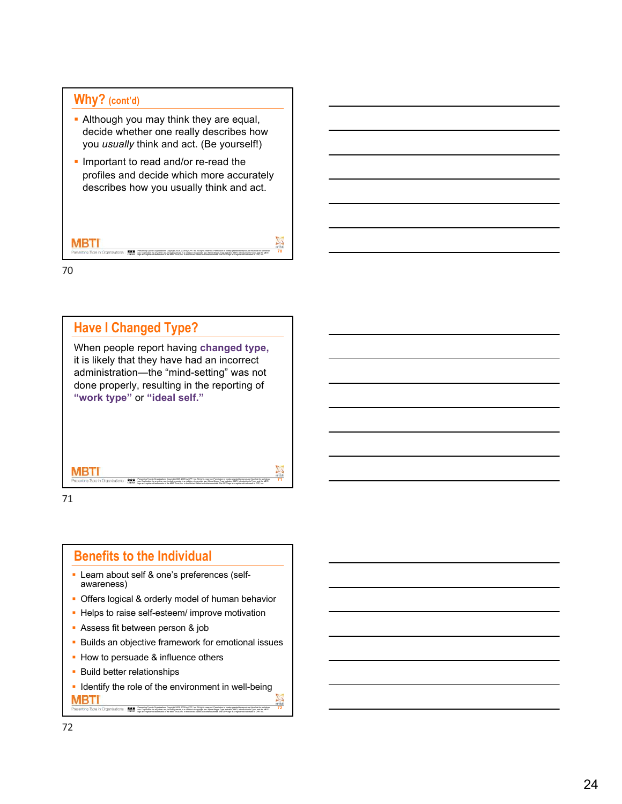### **Why? (cont'd)**

- Although you may think they are equal, decide whether one really describes how you *usually* think and act. (Be yourself!)
- Important to read and/or re-read the profiles and decide which more accurately describes how you usually think and act.

# MBTI Presening Type in Organizations Copyright 2008, 2009 by CPP, Inc. All rights reserved. Permission in hereby granted to reproduce this slide for workshop.<br>Less. Duplication for any other securities are assistant of copyrigh

**70**

70



71

# **Benefits to the Individual**

- § Learn about self & one's preferences (self- awareness)
- Offers logical & orderly model of human behavior
- Helps to raise self-esteem/ improve motivation
- § Assess fit between person & job
- Builds an objective framework for emotional issues
- How to persuade & influence others
- **Build better relationships**
- **Identify the role of the environment in well-being**

Presening Type in Organizations Copyright 2008, 2009 by CPP, Inc. All rights reserved. Permission in hereby granted to reproduce this slide for workshop.<br>Less. Duplication for any other securities are assistant of copyrigh

**72**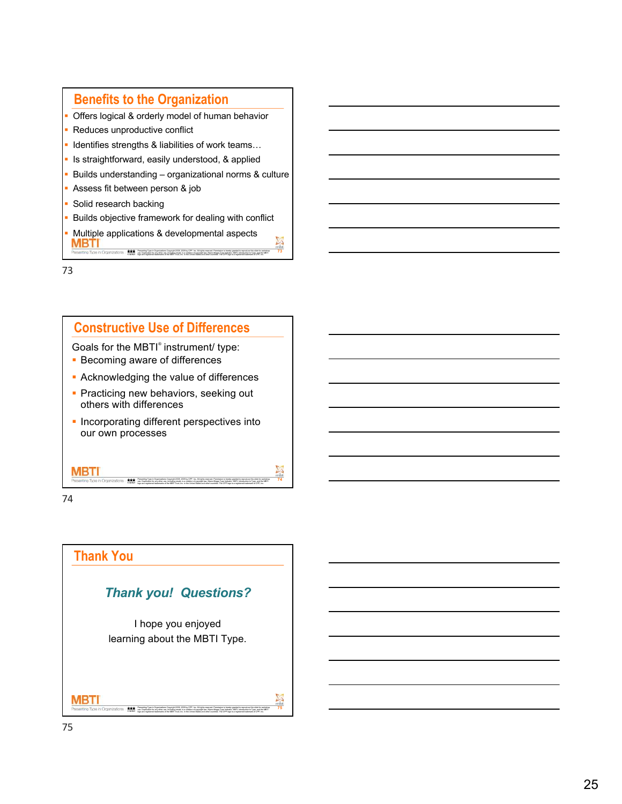# **Benefits to the Organization**

- Offers logical & orderly model of human behavior
- Reduces unproductive conflict
- **I** Identifies strengths & liabilities of work teams...
- **Is straightforward, easily understood, & applied**
- § Builds understanding organizational norms & culture
- § Assess fit between person & job
- § Solid research backing
- **Builds objective framework for dealing with conflict**
- § Multiple applications & developmental aspects MBTI Presening Type in Organizations Copyright 2008, 2009 by CPP, Inc. All rights reserved. Permission in hereby granted to reproduce this slide for workshop.<br>Less. Duplication for any other securities are assistant of copyrigh

**73**

**74**

73

## **Constructive Use of Differences**

Goals for the MBTI*®* instrument/ type:

- Becoming aware of differences
- **Acknowledging the value of differences**
- **Practicing new behaviors, seeking out** others with differences
- **Incorporating different perspectives into** our own processes

Presenting Type in Organizations Copyright 2008, 2009 by CPP, Inc. All rights reserved. Permission is hereby granted to reproduce this slide for workshop uss. Duplication for any other use, including resale, is a violation of copyright law. Myers-Briggs Type Indicator, MBTI, Introduction to Type, and the MBTI<br>loop are registered trademarks of the MBTI Trust. Inc. in the Uni

74

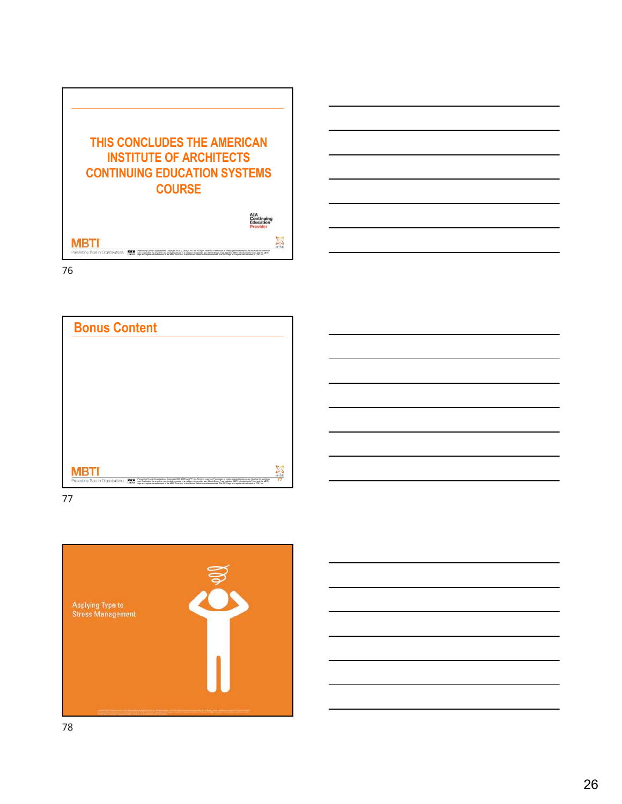



77

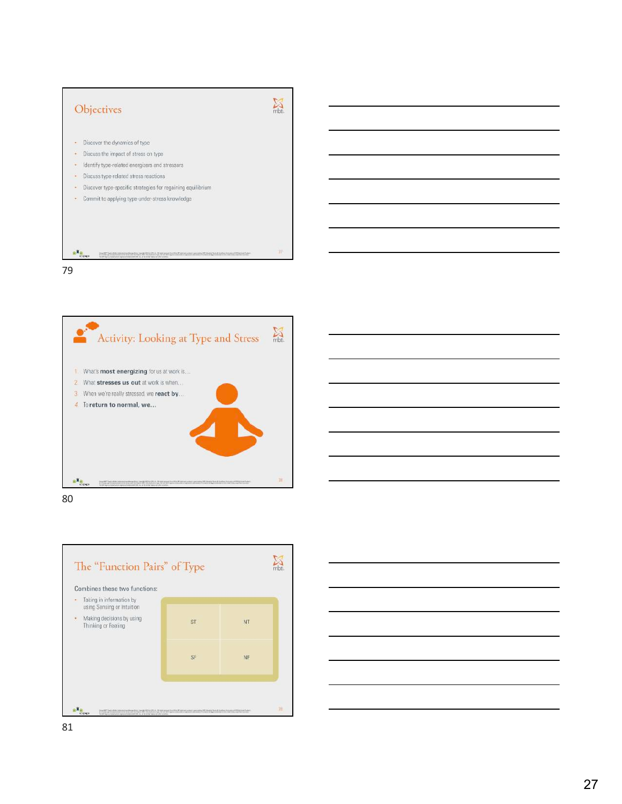





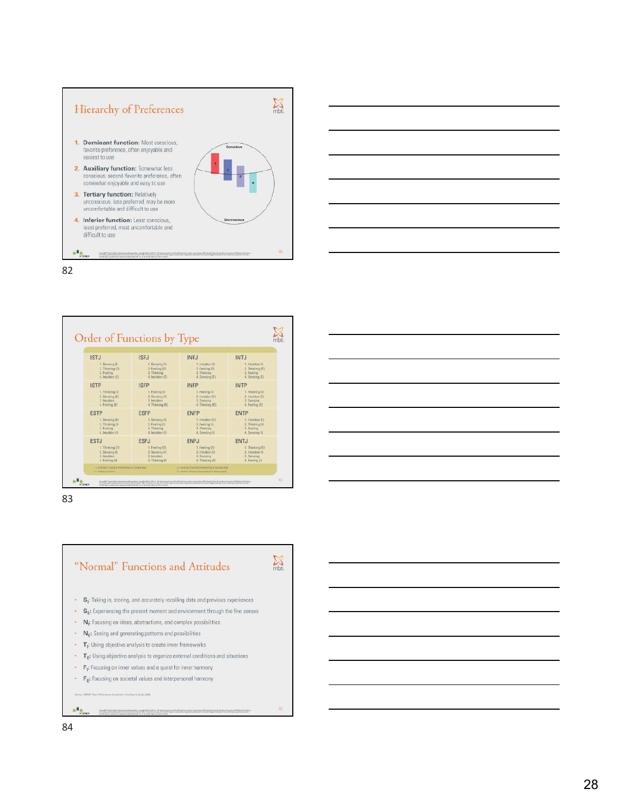







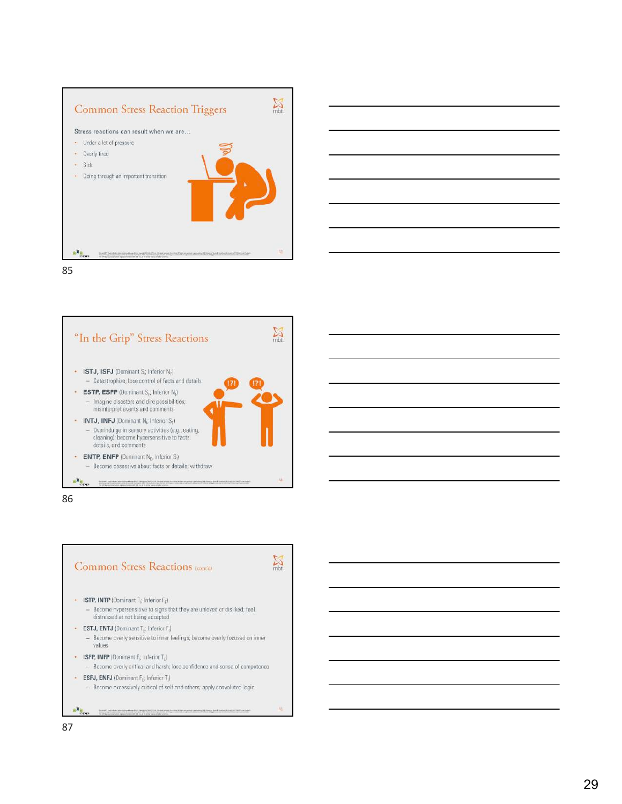









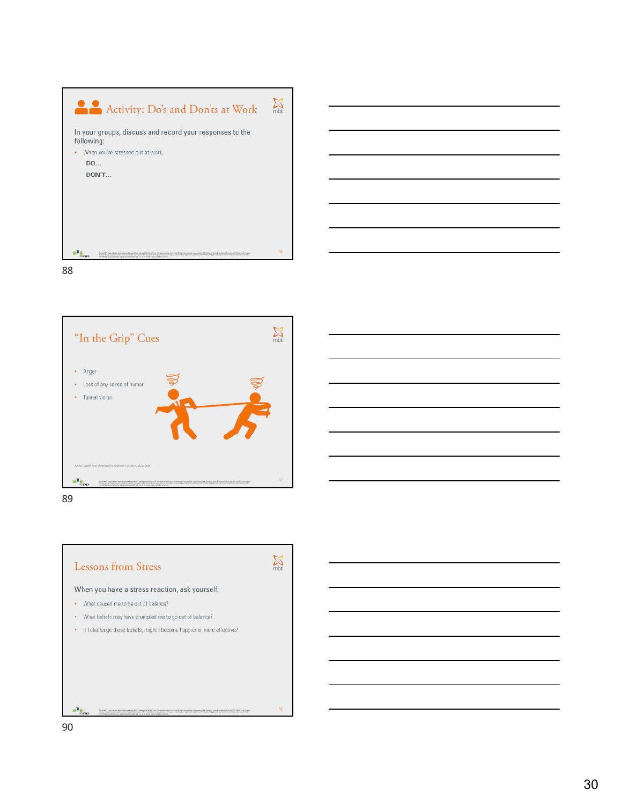







rowald 25 hours on the presument to choose appears parameter 27 Chemical Institute in conservative funds.<br>In the requirement up with left squareholded in algometerminate to their kings freehold Chemical and the marke

 $\frac{1+\epsilon}{1+\epsilon}$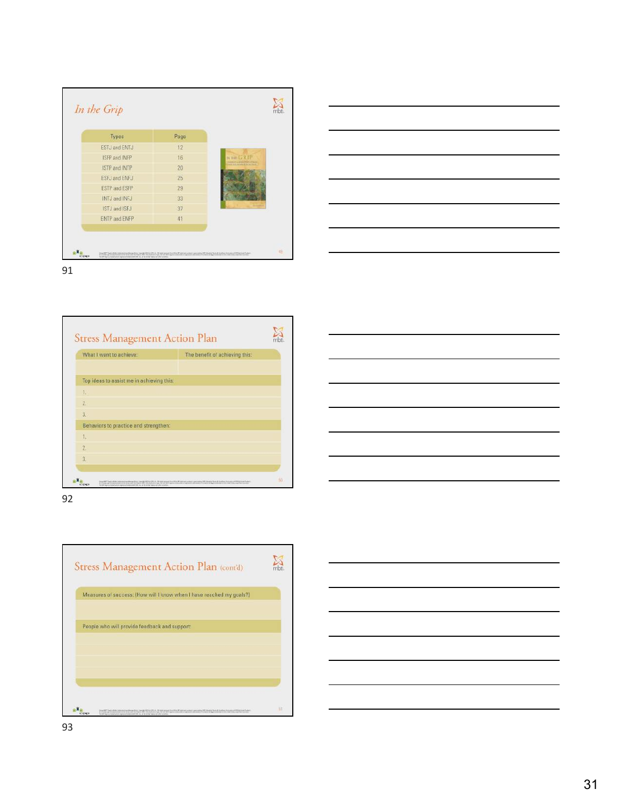| Types                | Page |                         |
|----------------------|------|-------------------------|
| ESTJ and ENTJ        | 12   |                         |
| ISFP and INFP        | 16   | ection G RTP            |
| ISTP and INTP        | 20   | <b>TABOYAMETER FRAG</b> |
| <b>ESFJ and ENFJ</b> | 25   |                         |
| <b>ESTP and ESFP</b> | 29   |                         |
| INTJ and INFJ        | 33   |                         |
| ISTJ and ISFJ        | 37   |                         |
| <b>ENTP and ENFP</b> | 41   |                         |





| What I want to achieve:                   | The benefit of achieving this: |  |
|-------------------------------------------|--------------------------------|--|
| Top ideas to assist me in achieving this: |                                |  |
| 13                                        |                                |  |
| $\overline{z}$                            |                                |  |
| $\overline{3}$ .                          |                                |  |
| Behaviors to practice and strengthen:     |                                |  |
| 1.                                        |                                |  |
| $\overline{2}$                            |                                |  |
| 3.                                        |                                |  |